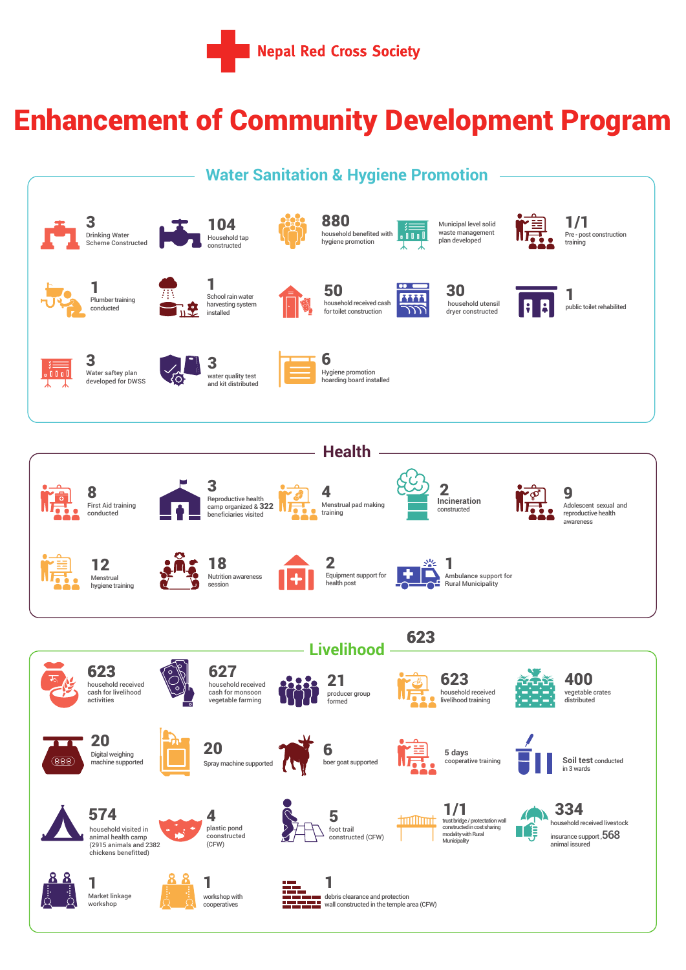

## Enhancement of Community Development Program